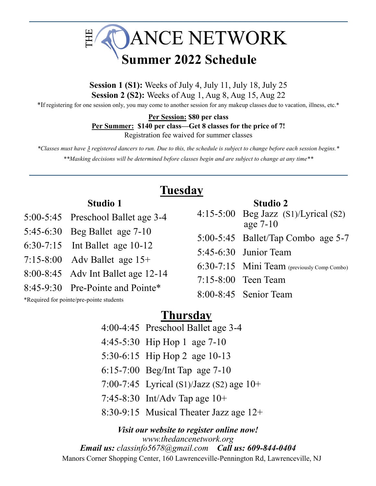

**Session 1 (S1):** Weeks of July 4, July 11, July 18, July 25 **Session 2 (S2):** Weeks of Aug 1, Aug 8, Aug 15, Aug 22

\*If registering for one session only, you may come to another session for any makeup classes due to vacation, illness, etc.\*

**Per Session: \$80 per class**

#### **Per Summer: \$140 per class—Get 8 classes for the price of 7!**

Registration fee waived for summer classes

*\*Classes must have 3 registered dancers to run. Due to this, the schedule is subject to change before each session begins.\* \*\*Masking decisions will be determined before classes begin and are subject to change at any time\*\**

# **Tuesday**

### **Studio 1**

- 5:00-5:45 Preschool Ballet age 3-4
- 5:45-6:30 Beg Ballet age 7-10
- 6:30-7:15 Int Ballet age 10-12
- 7:15-8:00 Adv Ballet age 15+
- 8:00-8:45 Adv Int Ballet age 12-14
- 8:45-9:30 Pre-Pointe and Pointe\*

\*Required for pointe/pre-pointe students

| <b>Studio 2</b>                             |
|---------------------------------------------|
| $4:15-5:00$ Beg Jazz $(S1)/Lyrical(S2)$     |
| age $7-10$                                  |
| $5:00-5:45$ Ballet/Tap Combo age 5-7        |
| $5:45-6:30$ Junior Team                     |
| 6:30-7:15 Mini Team (previously Comp Combo) |
| $7:15-8:00$ Teen Team                       |

8:00-8:45 Senior Team

## **Thursday**

- 4:00-4:45 Preschool Ballet age 3-4
- 4:45-5:30 Hip Hop 1 age 7-10
- 5:30-6:15 Hip Hop 2 age 10-13
- 6:15-7:00 Beg/Int Tap age 7-10
- 7:00-7:45 Lyrical (S1)/Jazz (S2) age 10+
- 7:45-8:30 Int/Adv Tap age 10+
- 8:30-9:15 Musical Theater Jazz age 12+

*Visit our website to register online now! www.thedancenetwork.org Email us: classinfo5678@gmail.com Call us: 609-844-0404* Manors Corner Shopping Center, 160 Lawrenceville-Pennington Rd, Lawrenceville, NJ